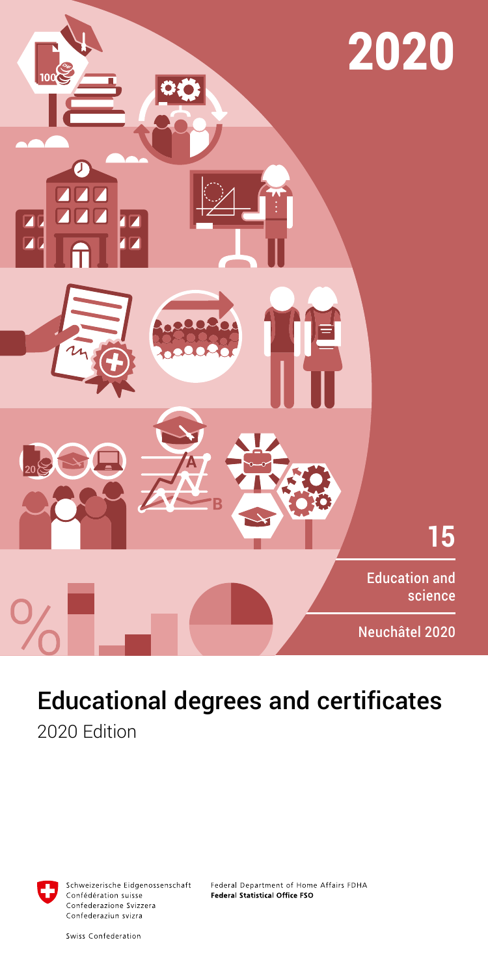

# Educational degrees and certificates

2020 Edition



Schweizerische Eidgenossenschaft Confédération suisse Confederazione Svizzera Confederaziun svizra

Federal Department of Home Affairs FDHA Federal Statistical Office FSO

Swiss Confederation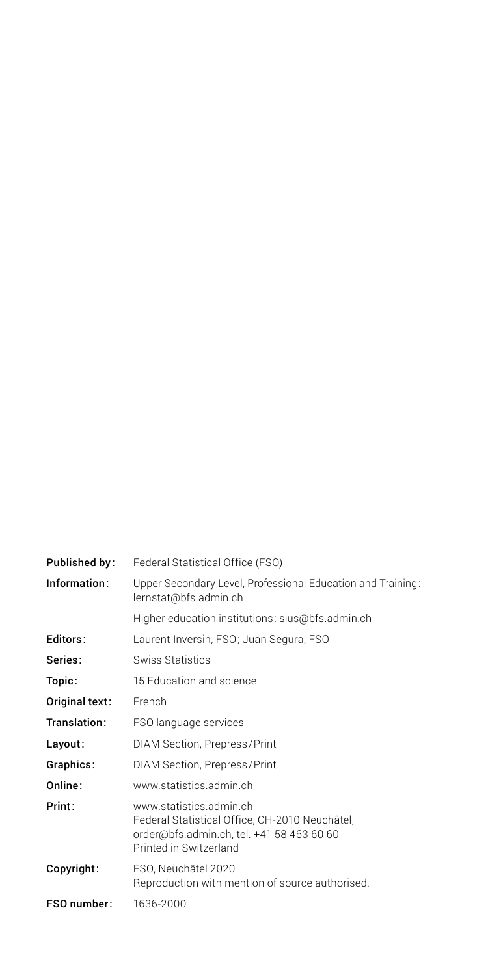| Published by:  | Federal Statistical Office (FSO)                                                                                                                 |
|----------------|--------------------------------------------------------------------------------------------------------------------------------------------------|
| Information:   | Upper Secondary Level, Professional Education and Training:<br>lernstat@bfs.admin.ch                                                             |
|                | Higher education institutions: sius@bfs.admin.ch                                                                                                 |
| Editors:       | Laurent Inversin, FSO; Juan Segura, FSO                                                                                                          |
| Series:        | Swiss Statistics                                                                                                                                 |
| Topic:         | 15 Education and science                                                                                                                         |
| Original text: | French                                                                                                                                           |
| Translation:   | FSO language services                                                                                                                            |
| Layout:        | DIAM Section, Prepress/Print                                                                                                                     |
| Graphics:      | DIAM Section, Prepress/Print                                                                                                                     |
| Online:        | www.statistics.admin.ch                                                                                                                          |
| Print:         | www.statistics.admin.ch<br>Federal Statistical Office, CH-2010 Neuchâtel,<br>order@bfs.admin.ch, tel. +41 58 463 60 60<br>Printed in Switzerland |
| Copyright:     | FSO. Neuchâtel 2020<br>Reproduction with mention of source authorised.                                                                           |
| FSO number:    | 1636-2000                                                                                                                                        |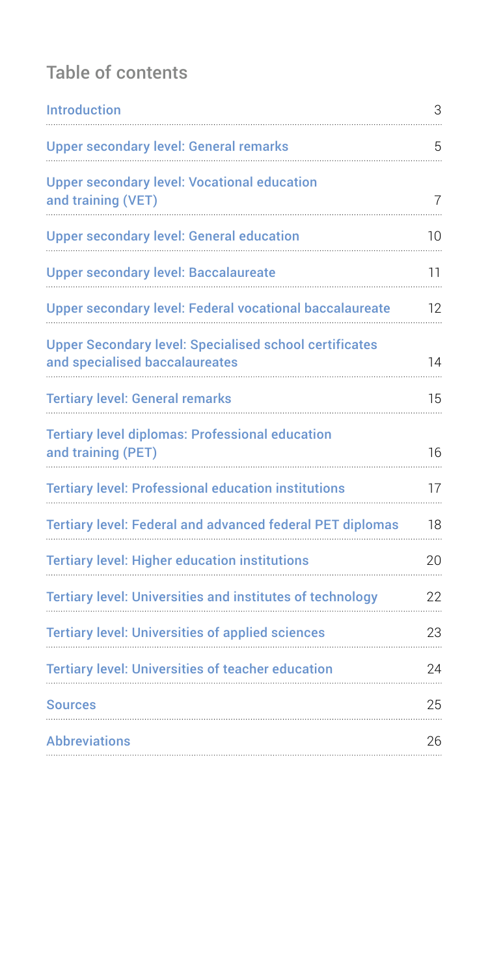## Table of contents

| <b>Introduction</b>                                                                             | 3              |
|-------------------------------------------------------------------------------------------------|----------------|
| <b>Upper secondary level: General remarks</b>                                                   | 5              |
| <b>Upper secondary level: Vocational education</b><br>and training (VET)                        | $\overline{7}$ |
| <b>Upper secondary level: General education</b>                                                 | 10             |
| <b>Upper secondary level: Baccalaureate</b>                                                     | 11             |
| <b>Upper secondary level: Federal vocational baccalaureate</b>                                  | 12             |
| <b>Upper Secondary level: Specialised school certificates</b><br>and specialised baccalaureates | 14             |
| <b>Tertiary level: General remarks</b>                                                          | 15             |
| <b>Tertiary level diplomas: Professional education</b><br>and training (PET)                    | 16             |
| <b>Tertiary level: Professional education institutions</b>                                      | 17             |
| <b>Tertiary level: Federal and advanced federal PET diplomas</b>                                | 18             |
| <b>Tertiary level: Higher education institutions</b>                                            | 20             |
| <b>Tertiary level: Universities and institutes of technology</b>                                | 22             |
| <b>Tertiary level: Universities of applied sciences</b>                                         | 23             |
| <b>Tertiary level: Universities of teacher education</b>                                        | 24             |
| Sources                                                                                         | 25             |
| <b>Abbreviations</b>                                                                            | 26             |
|                                                                                                 |                |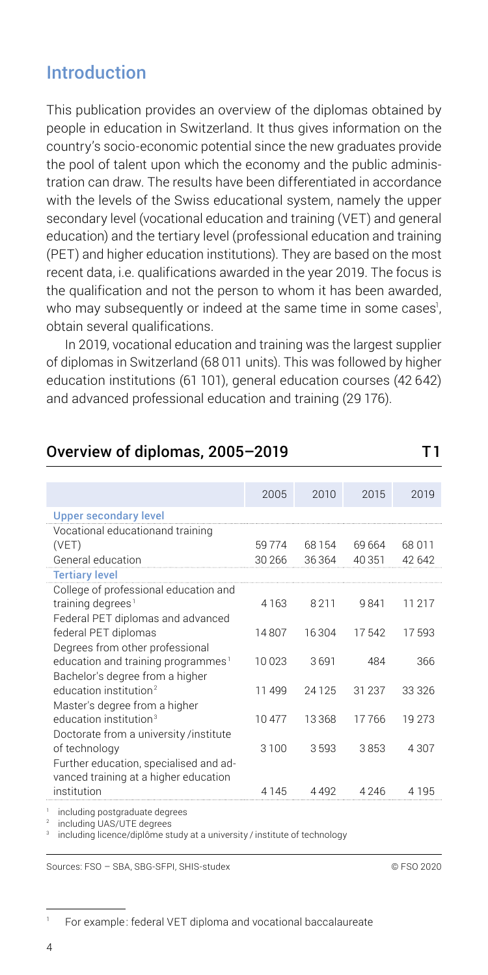## <span id="page-3-0"></span>Introduction

This publication provides an overview of the diplomas obtained by people in education in Switzerland. It thus gives information on the country's socio-economic potential since the new graduates provide the pool of talent upon which the economy and the public administration can draw. The results have been differentiated in accordance with the levels of the Swiss educational system, namely the upper secondary level (vocational education and training (VET) and general education) and the tertiary level (professional education and training (PET) and higher education institutions). They are based on the most recent data, i.e. qualifications awarded in the year 2019. The focus is the qualification and not the person to whom it has been awarded, who may subsequently or indeed at the same time in some cases<sup>1</sup>, obtain several qualifications.

In 2019, vocational education and training was the largest supplier of diplomas in Switzerland (68 011 units). This was followed by higher education institutions (61 101), general education courses (42 642) and advanced professional education and training (29 176).

## Overview of diplomas, 2005-2019 T1

|                                                | 2005    | 2010  | 2015   | 2019    |
|------------------------------------------------|---------|-------|--------|---------|
| <b>Upper secondary level</b>                   |         |       |        |         |
| Vocational educationand training               |         |       |        |         |
| (VET)                                          | 59774   | 68154 | 69 664 | 68 0 11 |
| General education                              | 30 26 6 | 36364 | 40 351 | 42 642  |
| <b>Tertiary level</b>                          |         |       |        |         |
| College of professional education and          |         |       |        |         |
| training degrees <sup>1</sup>                  | 4 1 6 3 | 8211  | 9841   | 11 217  |
| Federal PET diplomas and advanced              |         |       |        |         |
| federal PET diplomas                           | 14807   | 16304 | 17542  | 17593   |
| Degrees from other professional                |         |       |        |         |
| education and training programmes <sup>1</sup> | 10023   | 3691  | 484    | 366     |
| Bachelor's degree from a higher                |         |       |        |         |
| education institution <sup>2</sup>             | 11 499  | 24125 | 31 237 | 33 326  |
| Master's degree from a higher                  |         |       |        |         |
| education institution <sup>3</sup>             | 10477   | 13368 | 17766  | 19 273  |
| Doctorate from a university /institute         |         |       |        |         |
| of technology                                  | 3100    | 3593  | 3853   | 4 3 0 7 |
| Further education, specialised and ad-         |         |       |        |         |
| vanced training at a higher education          |         |       |        |         |
| institution                                    | 4 1 4 5 | 4492  | 4246   | 4 1 9 5 |

<sup>1</sup> including postgraduate degrees

2 including UAS/UTE degrees

3 including licence/diplôme study at a university / institute of technology

Sources: FSO – SBA, SBG-SFPI, SHIS-studex © FSO 2020

<sup>1</sup> For example: federal VET diploma and vocational baccalaureate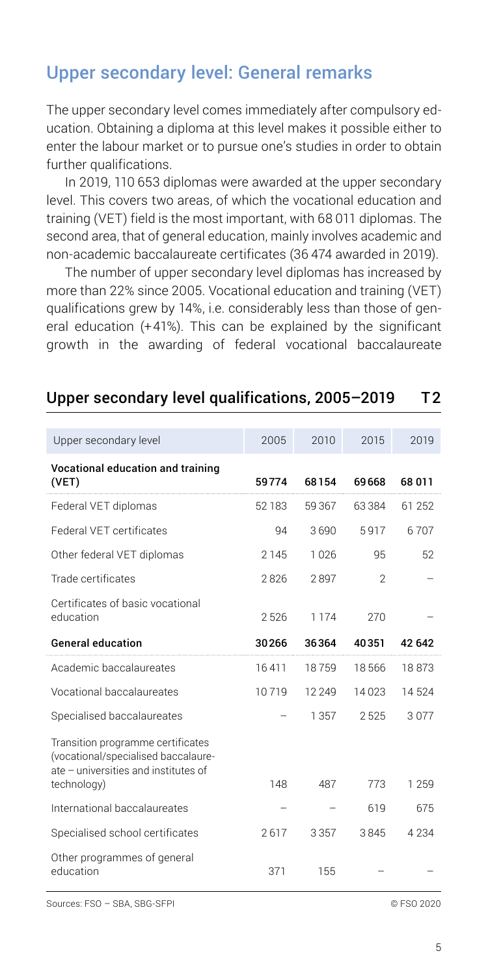## <span id="page-4-0"></span>Upper secondary level: General remarks

The upper secondary level comes immediately after compulsory education. Obtaining a diploma at this level makes it possible either to enter the labour market or to pursue one's studies in order to obtain further qualifications.

In 2019, 110 653 diplomas were awarded at the upper secondary level. This covers two areas, of which the vocational education and training (VET) field is the most important, with 68 011 diplomas. The second area, that of general education, mainly involves academic and non-academic baccalaureate certificates (36 474 awarded in 2019).

The number of upper secondary level diplomas has increased by more than 22% since 2005. Vocational education and training (VET) qualifications grew by 14%, i.e. considerably less than those of general education (+41%). This can be explained by the significant growth in the awarding of federal vocational baccalaureate

| Upper secondary level                                                                                            | 2005   | 2010     | 2015           | 2019    |
|------------------------------------------------------------------------------------------------------------------|--------|----------|----------------|---------|
| Vocational education and training<br>(VET)                                                                       | 59774  | 68154    | 69668          | 68 011  |
| Federal VET diplomas                                                                                             | 52 183 | 59367    | 63384          | 61 252  |
| Federal VFT certificates                                                                                         | 94     | 3690     | 5917           | 6707    |
| Other federal VET diplomas                                                                                       | 2145   | 1026     | 95             | 52      |
| Trade certificates                                                                                               | 2826   | 2897     | $\mathfrak{D}$ |         |
| Certificates of basic vocational<br>education                                                                    | 2526   | 1174     | 270            |         |
| <b>General education</b>                                                                                         | 30266  | 36364    | 40351          | 42 642  |
|                                                                                                                  |        |          |                |         |
| Academic baccalaureates                                                                                          | 16411  | 18759    | 18566          | 18873   |
| Vocational baccalaureates                                                                                        | 10719  | 12 2 4 9 | 14023          | 14524   |
| Specialised baccalaureates                                                                                       |        | 1357     | 2525           | 3077    |
| Transition programme certificates<br>(vocational/specialised baccalaure-<br>ate - universities and institutes of | 148    | 487      | 773            | 1 259   |
| technology)<br>International baccalaureates                                                                      |        |          | 619            | 675     |
| Specialised school certificates                                                                                  | 2617   | 3357     | 3845           | 4 2 3 4 |

#### Upper secondary level qualifications, 2005–2019 T2

Sources: FSO – SBA, SBG-SFPI © FSO 2020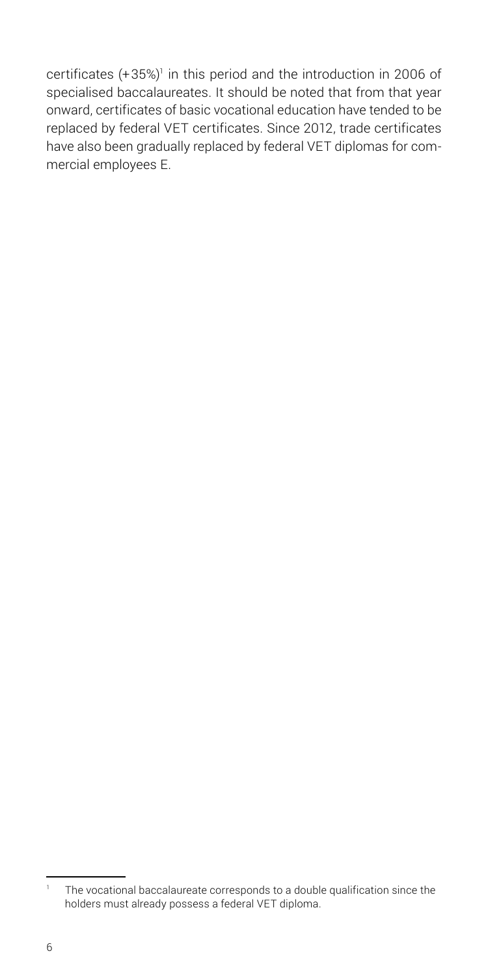certificates (+35%)<sup>1</sup> in this period and the introduction in 2006 of specialised baccalaureates. It should be noted that from that year onward, certificates of basic vocational education have tended to be replaced by federal VET certificates. Since 2012, trade certificates have also been gradually replaced by federal VET diplomas for commercial employees E.

<sup>&</sup>lt;sup>1</sup> The vocational baccalaureate corresponds to a double qualification since the holders must already possess a federal VET diploma.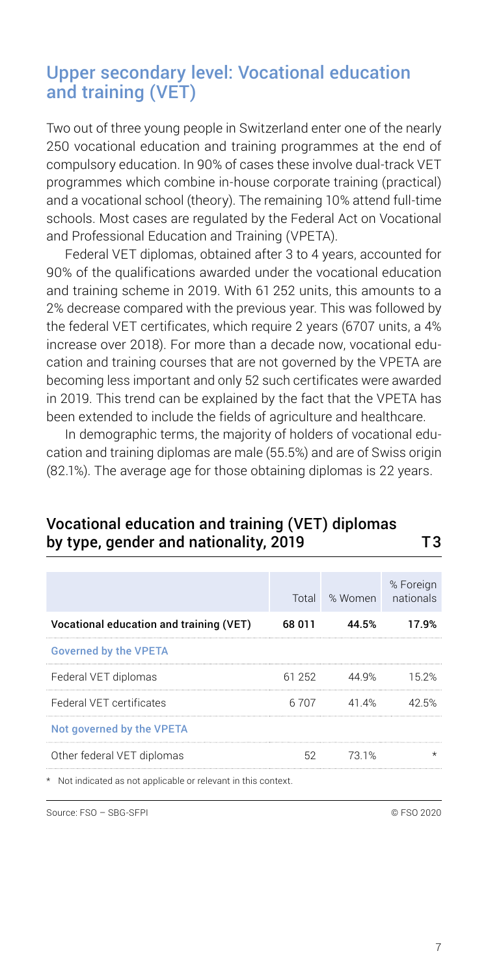## <span id="page-6-0"></span>Upper secondary level: Vocational education and training (VET)

Two out of three young people in Switzerland enter one of the nearly 250 vocational education and training programmes at the end of compulsory education. In 90% of cases these involve dual-track VET programmes which combine in-house corporate training (practical) and a vocational school (theory). The remaining 10% attend full-time schools. Most cases are regulated by the Federal Act on Vocational and Professional Education and Training (VPETA).

Federal VET diplomas, obtained after 3 to 4 years, accounted for 90% of the qualifications awarded under the vocational education and training scheme in 2019. With 61 252 units, this amounts to a 2% decrease compared with the previous year. This was followed by the federal VET certificates, which require 2 years (6707 units, a 4% increase over 2018). For more than a decade now, vocational education and training courses that are not governed by the VPETA are becoming less important and only 52 such certificates were awarded in 2019. This trend can be explained by the fact that the VPETA has been extended to include the fields of agriculture and healthcare.

In demographic terms, the majority of holders of vocational education and training diplomas are male (55.5%) and are of Swiss origin (82.1%). The average age for those obtaining diplomas is 22 years.

## Total % Women % Foreign nationals Vocational education and training (VET) 68 011 44.5% 17.9% Governed by the VPETA Federal VET diplomas 61 252 44.9% 15.2% Federal VET certificates 6707 41.4% 42.5% Not governed by the VPETA Other federal VET diplomas 62 73.1% \*

### Vocational education and training (VET) diplomas by type, gender and nationality, 2019 T3

\* Not indicated as not applicable or relevant in this context.

Source: FSO – SBG-SFPI © FSO 2020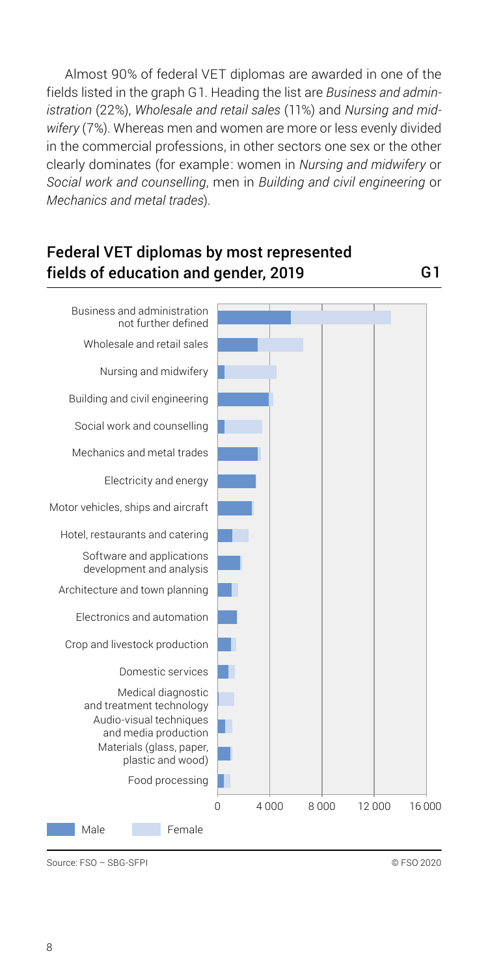Almost 90% of federal VET diplomas are awarded in one of the fields listed in the graph G1. Heading the list are *Business and administration* (22%), *Wholesale and retail sales* (11%) and *Nursing and midwifery* (7%). Whereas men and women are more or less evenly divided in the commercial professions, in other sectors one sex or the other clearly dominates (for example: women in *Nursing and midwifery* or *Social work and counselling*, men in *Building and civil engineering* or *Mechanics and metal trades*).

#### Federal VET diplomas by most represented fields of education and gender, 2019 G1

Male **Female** 0 4 000 8 000 12 000 16 000 Food processing Materials (glass, paper, plastic and wood) Audio-visual techniques and media production Medical diagnostic and treatment technology Domestic services Crop and livestock production Electronics and automation Architecture and town planning Software and applications development and analysis Hotel, restaurants and catering Motor vehicles, ships and aircraft Electricity and energy Mechanics and metal trades Social work and counselling Building and civil engineering Nursing and midwifery Wholesale and retail sales Business and administration not further defined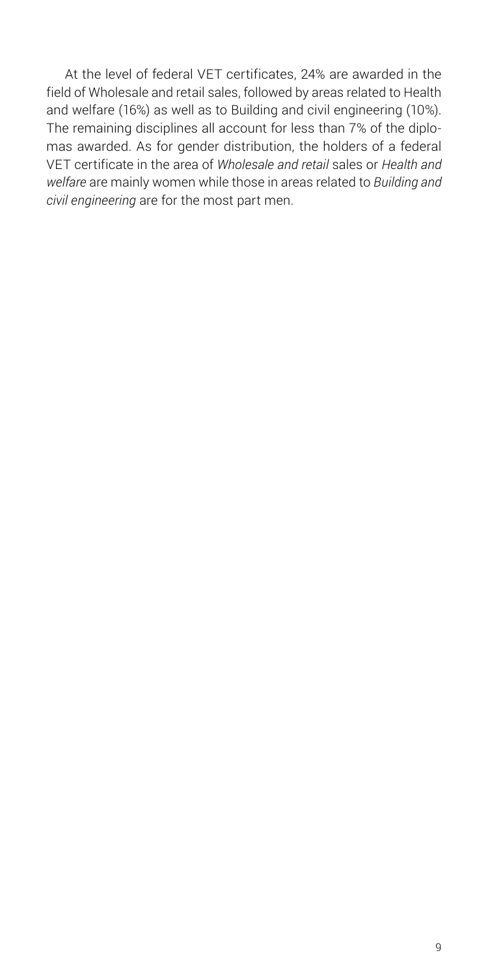At the level of federal VET certificates, 24% are awarded in the field of Wholesale and retail sales, followed by areas related to Health and welfare (16%) as well as to Building and civil engineering (10%). The remaining disciplines all account for less than 7% of the diplomas awarded. As for gender distribution, the holders of a federal VET certificate in the area of *Wholesale and retail* sales or *Health and welfare* are mainly women while those in areas related to *Building and civil engineering* are for the most part men.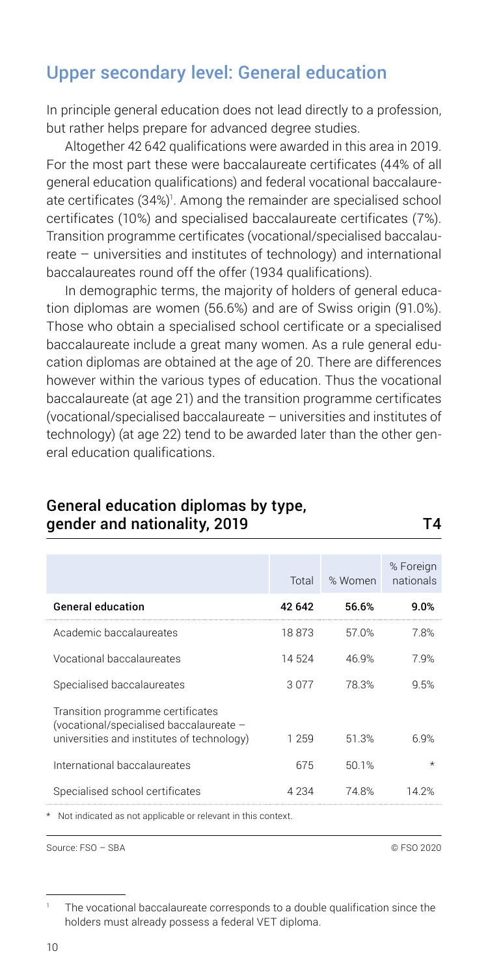## <span id="page-9-0"></span>Upper secondary level: General education

In principle general education does not lead directly to a profession, but rather helps prepare for advanced degree studies.

Altogether 42 642 qualifications were awarded in this area in 2019. For the most part these were baccalaureate certificates (44% of all general education qualifications) and federal vocational baccalaureate certificates (34%)<sup>1</sup>. Among the remainder are specialised school certificates (10%) and specialised baccalaureate certificates (7%). Transition programme certificates (vocational/specialised baccalaureate – universities and institutes of technology) and international baccalaureates round off the offer (1934 qualifications).

In demographic terms, the majority of holders of general education diplomas are women (56.6%) and are of Swiss origin (91.0%). Those who obtain a specialised school certificate or a specialised baccalaureate include a great many women. As a rule general education diplomas are obtained at the age of 20. There are differences however within the various types of education. Thus the vocational baccalaureate (at age 21) and the transition programme certificates (vocational/specialised baccalaureate – universities and institutes of technology) (at age 22) tend to be awarded later than the other general education qualifications.

| Total   | % Women | % Foreign<br>nationals |
|---------|---------|------------------------|
| 42 642  | 56.6%   | 9.0%                   |
| 18873   | 57.0%   | 7.8%                   |
| 14524   | 46.9%   | 7.9%                   |
| 3077    | 78.3%   | 9.5%                   |
| 1 259   | 51.3%   | 6.9%                   |
| 675     | 50.1%   | $\star$                |
| 4 2 3 4 | 74.8%   | 14 2%                  |
|         |         |                        |

#### General education diplomas by type, gender and nationality, 2019 T4

\* Not indicated as not applicable or relevant in this context.

Source: FSO – SBA © FSO 2020

The vocational baccalaureate corresponds to a double qualification since the holders must already possess a federal VET diploma.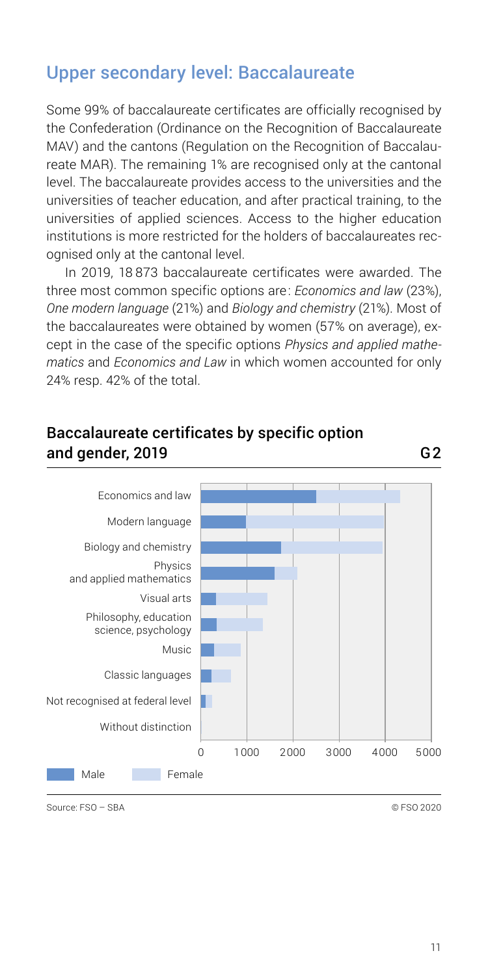## <span id="page-10-0"></span>Upper secondary level: Baccalaureate

Some 99% of baccalaureate certificates are officially recognised by the Confederation (Ordinance on the Recognition of Baccalaureate MAV) and the cantons (Regulation on the Recognition of Baccalaureate MAR). The remaining 1% are recognised only at the cantonal level. The baccalaureate provides access to the universities and the universities of teacher education, and after practical training, to the universities of applied sciences. Access to the higher education institutions is more restricted for the holders of baccalaureates recognised only at the cantonal level.

In 2019, 18 873 baccalaureate certificates were awarded. The three most common specific options are: *Economics and law* (23%), *One modern language* (21%) and *Biology and chemistry* (21%). Most of the baccalaureates were obtained by women (57% on average), except in the case of the specific options *Physics and applied mathematics* and *Economics and Law* in which women accounted for only 24% resp. 42% of the total.

#### Baccalaureate certificates by specific option and gender, 2019 G2

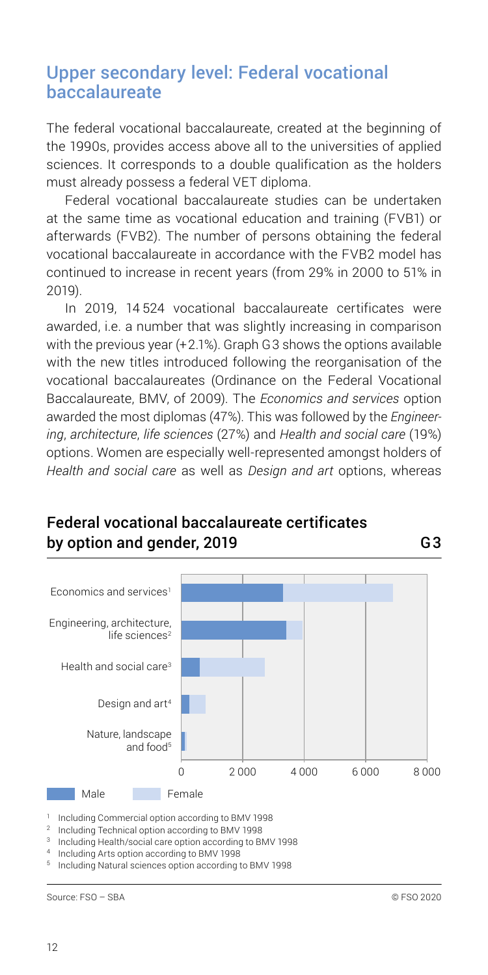#### <span id="page-11-0"></span>Upper secondary level: Federal vocational baccalaureate

The federal vocational baccalaureate, created at the beginning of the 1990s, provides access above all to the universities of applied sciences. It corresponds to a double qualification as the holders must already possess a federal VET diploma.

Federal vocational baccalaureate studies can be undertaken at the same time as vocational education and training (FVB1) or afterwards (FVB2). The number of persons obtaining the federal vocational baccalaureate in accordance with the FVB2 model has continued to increase in recent years (from 29% in 2000 to 51% in 2019).

In 2019, 14 524 vocational baccalaureate certificates were awarded, i.e. a number that was slightly increasing in comparison with the previous year (+2.1%). Graph G3 shows the options available with the new titles introduced following the reorganisation of the vocational baccalaureates (Ordinance on the Federal Vocational Baccalaureate, BMV, of 2009). The *Economics and services* option awarded the most diplomas (47%). This was followed by the *Engineering*, *architecture*, *life sciences* (27%) and *Health and social care* (19%) options. Women are especially well-represented amongst holders of *Health and social care* as well as *Design and art* options, whereas

## Male Female 0 2 000 4 000 6 000 8 000 Nature, landscape and food<sup>5</sup> Design and art4 Health and social care<sup>3</sup> Engineering, architecture, life sciences $2$ Economics and services1

### Federal vocational baccalaureate certificates by option and gender, 2019 G3

<sup>1</sup> Including Commercial option according to BMV 1998

2 Including Technical option according to BMV 1998

<sup>3</sup> Including Health/social care option according to BMV 1998

<sup>4</sup> Including Arts option according to BMV 1998

<sup>5</sup> Including Natural sciences option according to BMV 1998

Source: FSO – SBA © FSO 2020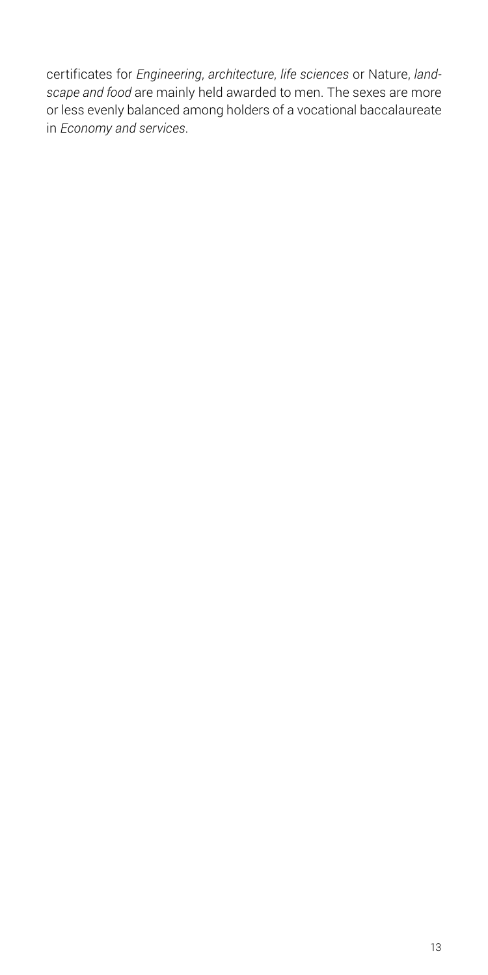certificates for *Engineering*, *architecture*, *life sciences* or Nature, *landscape and food* are mainly held awarded to men. The sexes are more or less evenly balanced among holders of a vocational baccalaureate in *Economy and services*.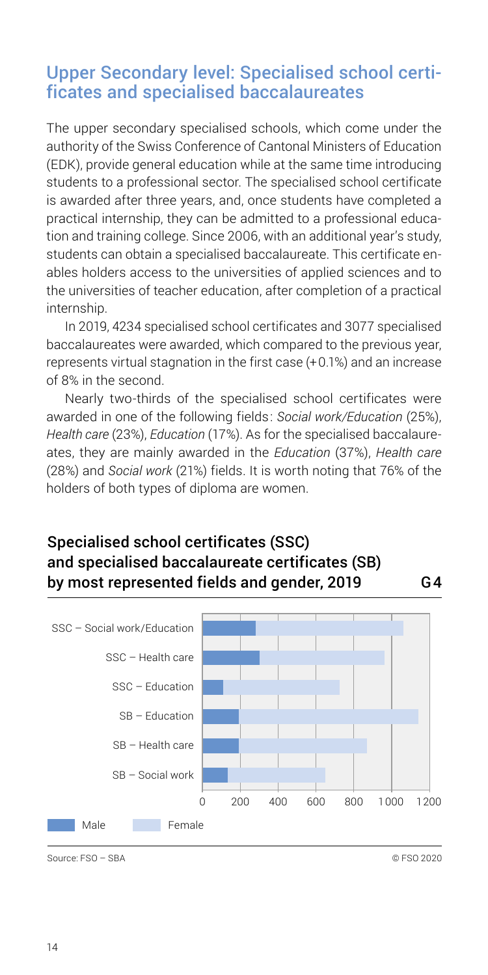### <span id="page-13-0"></span>Upper Secondary level: Specialised school certificates and specialised baccalaureates

The upper secondary specialised schools, which come under the authority of the Swiss Conference of Cantonal Ministers of Education (EDK), provide general education while at the same time introducing students to a professional sector. The specialised school certificate is awarded after three years, and, once students have completed a practical internship, they can be admitted to a professional education and training college. Since 2006, with an additional year's study, students can obtain a specialised baccalaureate. This certificate enables holders access to the universities of applied sciences and to the universities of teacher education, after completion of a practical internship.

In 2019, 4234 specialised school certificates and 3077 specialised baccalaureates were awarded, which compared to the previous year, represents virtual stagnation in the first case (+ 0.1%) and an increase of 8% in the second.

Nearly two-thirds of the specialised school certificates were awarded in one of the following fields: *Social work/Education* (25%), *Health care* (23%), *Education* (17%). As for the specialised baccalaureates, they are mainly awarded in the *Education* (37%), *Health care* (28%) and *Social work* (21%) fields. It is worth noting that 76% of the holders of both types of diploma are women.

#### Specialised school certificates (SSC) and specialised baccalaureate certificates (SB) by most represented fields and gender, 2019 G4



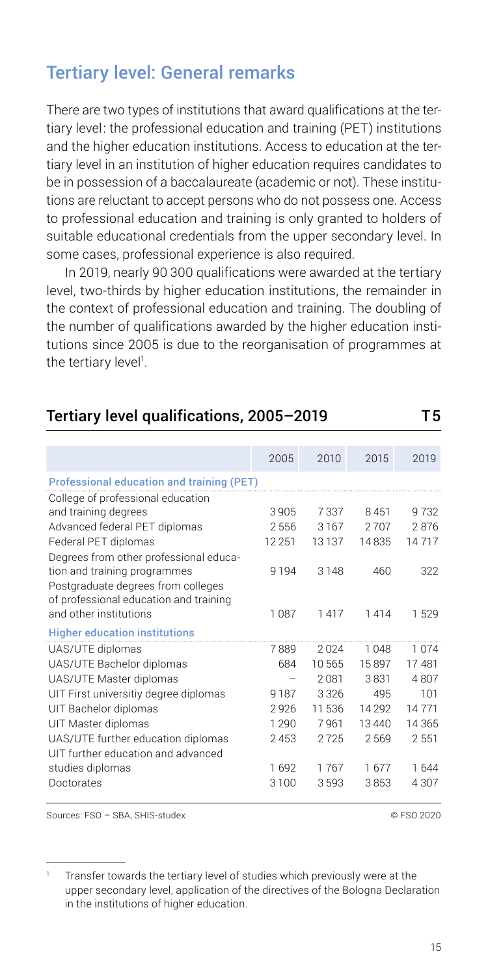## <span id="page-14-0"></span>Tertiary level: General remarks

There are two types of institutions that award qualifications at the tertiary level: the professional education and training (PET) institutions and the higher education institutions. Access to education at the tertiary level in an institution of higher education requires candidates to be in possession of a baccalaureate (academic or not). These institutions are reluctant to accept persons who do not possess one. Access to professional education and training is only granted to holders of suitable educational credentials from the upper secondary level. In some cases, professional experience is also required.

In 2019, nearly 90 300 qualifications were awarded at the tertiary level, two-thirds by higher education institutions, the remainder in the context of professional education and training. The doubling of the number of qualifications awarded by the higher education institutions since 2005 is due to the reorganisation of programmes at the tertiary level<sup>1</sup>.

#### Tertiary level qualifications, 2005–2019 T5

2005 2010 2015 2019 Professional education and training (PET) College of professional education and training degrees 3 905  7 337  8 451  9 732 Advanced federal PET diplomas 2 556  3 167  2 707  2 876 Federal PET diplomas 12 251  13 137  14 835  14 717 Degrees from other professional education and training programmes 9 194  3 148  460  322 Postgraduate degrees from colleges of professional education and training and other institutions 1 087  1 417  1 414  1 529 Higher education institutions UAS/UTE diplomas 7 889  2 024  1 048  1 074 UAS/UTE Bachelor diplomas 684  10 565  15 897  17 481 UAS/UTE Master diplomas – 2 081  3 831  4 807 UIT First universitiy degree diplomas 9 187  3 326  495  101 UIT Bachelor diplomas 2 926  11 536  14 292  14 771 UIT Master diplomas 1 290  7 961  13 440  14 365 UAS/UTE further education diplomas 2 453  2 725  2 569  2 551 UIT further education and advanced studies diplomas 1 692 1 767 1 677 1 644 Doctorates 3 100  3 593  3 853  4 307

Sources: FSO – SBA, SHIS-studex © FSO 2020

Transfer towards the tertiary level of studies which previously were at the upper secondary level, application of the directives of the Bologna Declaration in the institutions of higher education.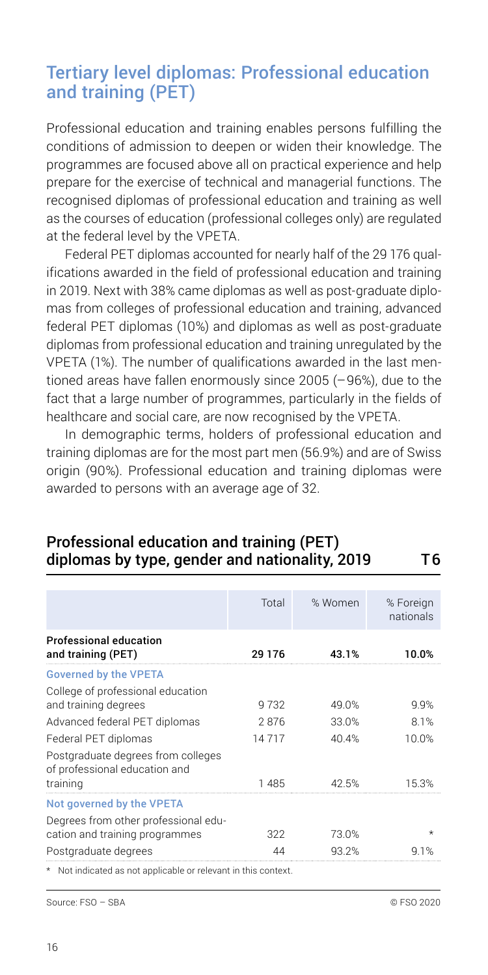## <span id="page-15-0"></span>Tertiary level diplomas: Professional education and training (PET)

Professional education and training enables persons fulfilling the conditions of admission to deepen or widen their knowledge. The programmes are focused above all on practical experience and help prepare for the exercise of technical and managerial functions. The recognised diplomas of professional education and training as well as the courses of education (professional colleges only) are regulated at the federal level by the VPETA.

Federal PET diplomas accounted for nearly half of the 29 176 qualifications awarded in the field of professional education and training in 2019. Next with 38% came diplomas as well as post-graduate diplomas from colleges of professional education and training, advanced federal PET diplomas (10%) and diplomas as well as post-graduate diplomas from professional education and training unregulated by the VPETA (1%). The number of qualifications awarded in the last mentioned areas have fallen enormously since 2005 (– 96%), due to the fact that a large number of programmes, particularly in the fields of healthcare and social care, are now recognised by the VPETA.

In demographic terms, holders of professional education and training diplomas are for the most part men (56.9%) and are of Swiss origin (90%). Professional education and training diplomas were awarded to persons with an average age of 32.

|                                                                     | Total    | % Women | % Foreign<br>nationals |
|---------------------------------------------------------------------|----------|---------|------------------------|
| <b>Professional education</b><br>and training (PET)                 | 29 1 7 6 | 43.1%   | 1በ በ%                  |
| <b>Governed by the VPETA</b>                                        |          |         |                        |
| College of professional education                                   |          |         |                        |
| and training degrees                                                | 9732     | 49.0%   | 9.9%                   |
| Advanced federal PET diplomas                                       | 2876     | 33.0%   | 8.1%                   |
| Federal PET diplomas                                                | 14717    | 40.4%   | 10.0%                  |
| Postgraduate degrees from colleges<br>of professional education and |          |         |                        |
| training                                                            | 1485     | 42.5%   | 15.3%                  |
| Not governed by the VPETA                                           |          |         |                        |
| Degrees from other professional edu-                                |          |         |                        |
| cation and training programmes                                      | 322      | 73.0%   | $\star$                |
| Postgraduate degrees                                                | ΛΛ       | 93.2%   | 1%                     |
| * Not indicated as not applicable or relevant in this context.      |          |         |                        |

#### Professional education and training (PET) diplomas by type, gender and nationality, 2019 T6

Source: FSO – SBA © FSO 2020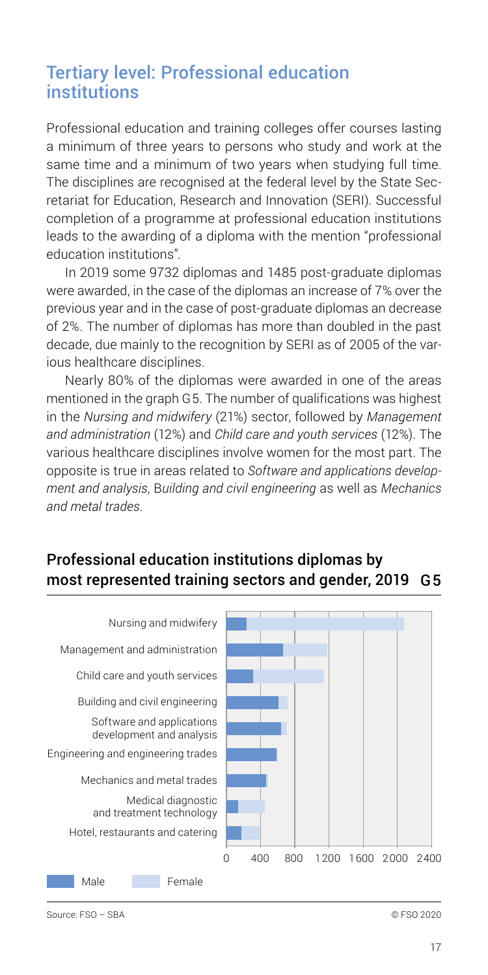## <span id="page-16-0"></span>Tertiary level: Professional education institutions

Professional education and training colleges offer courses lasting a minimum of three years to persons who study and work at the same time and a minimum of two years when studying full time. The disciplines are recognised at the federal level by the State Secretariat for Education, Research and Innovation (SERI). Successful completion of a programme at professional education institutions leads to the awarding of a diploma with the mention "professional education institutions".

In 2019 some 9732 diplomas and 1485 post-graduate diplomas were awarded, in the case of the diplomas an increase of 7% over the previous year and in the case of post-graduate diplomas an decrease of 2%. The number of diplomas has more than doubled in the past decade, due mainly to the recognition by SERI as of 2005 of the various healthcare disciplines.

Nearly 80% of the diplomas were awarded in one of the areas mentioned in the graph G5. The number of qualifications was highest in the *Nursing and midwifery* (21%) sector, followed by *Management and administration* (12%) and *Child care and youth services* (12%). The various healthcare disciplines involve women for the most part. The opposite is true in areas related to *Software and applications development and analysis*, B*uilding and civil engineering* as well as *Mechanics and metal trades*.

#### Professional education institutions diplomas by most represented training sectors and gender, 2019 G5

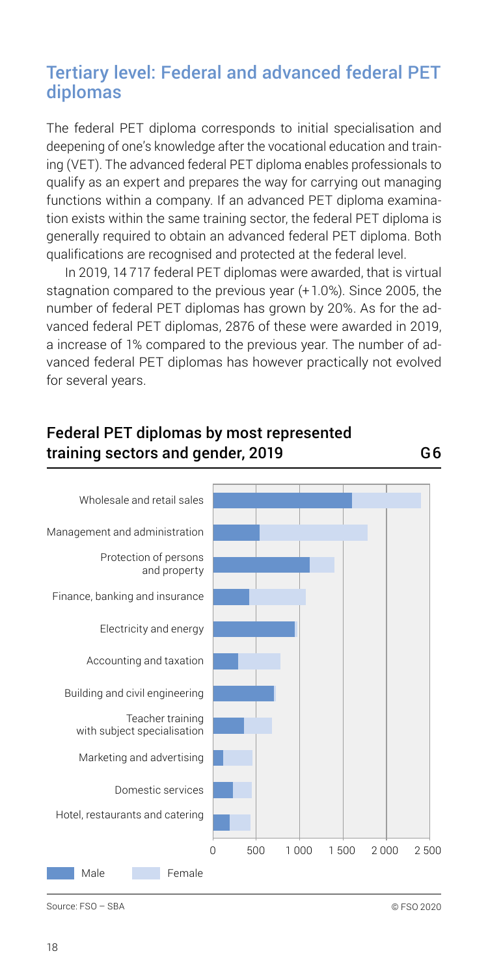## <span id="page-17-0"></span>Tertiary level: Federal and advanced federal PET diplomas

The federal PET diploma corresponds to initial specialisation and deepening of one's knowledge after the vocational education and training (VET). The advanced federal PET diploma enables professionals to qualify as an expert and prepares the way for carrying out managing functions within a company. If an advanced PET diploma examination exists within the same training sector, the federal PET diploma is generally required to obtain an advanced federal PET diploma. Both qualifications are recognised and protected at the federal level.

In 2019, 14 717 federal PET diplomas were awarded, that is virtual stagnation compared to the previous year (+ 1.0%). Since 2005, the number of federal PET diplomas has grown by 20%. As for the advanced federal PET diplomas, 2876 of these were awarded in 2019, a increase of 1% compared to the previous year. The number of advanced federal PET diplomas has however practically not evolved for several years.

#### Federal PET diplomas by most represented training sectors and gender, 2019 G6



Source: FSO – SBA © FSO 2020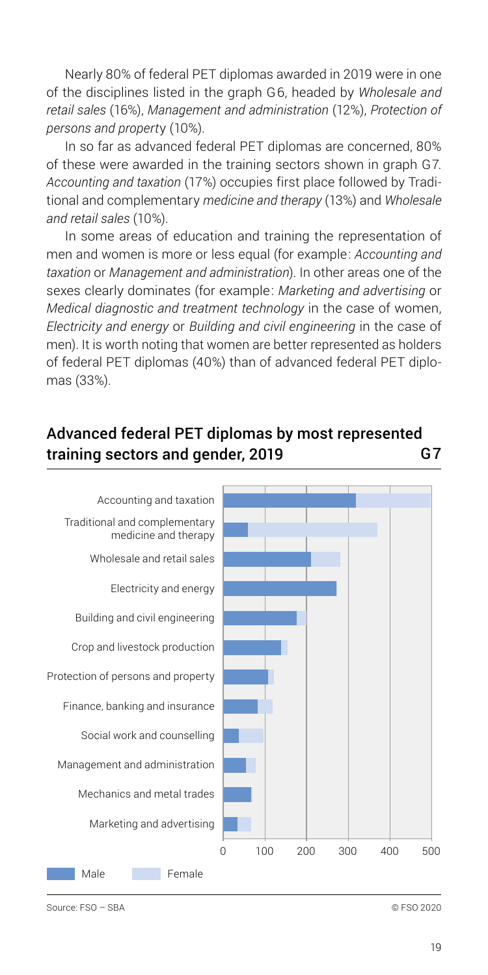Nearly 80% of federal PET diplomas awarded in 2019 were in one of the disciplines listed in the graph G6, headed by *Wholesale and retail sales* (16%), *Management and administration* (12%), *Protection of persons and propert*y (10%).

In so far as advanced federal PET diplomas are concerned, 80% of these were awarded in the training sectors shown in graph G7. *Accounting and taxation* (17%) occupies first place followed by Traditional and complementary *medicine and therapy* (13%) and *Wholesale and retail sales* (10%).

In some areas of education and training the representation of men and women is more or less equal (for example: *Accounting and taxation* or *Management and administration*). In other areas one of the sexes clearly dominates (for example: *Marketing and advertising* or *Medical diagnostic and treatment technology* in the case of women, *Electricity and energy* or *Building and civil engineering* in the case of men). It is worth noting that women are better represented as holders of federal PET diplomas (40%) than of advanced federal PET diplomas (33%).

#### Advanced federal PET diplomas by most represented training sectors and gender, 2019 G7

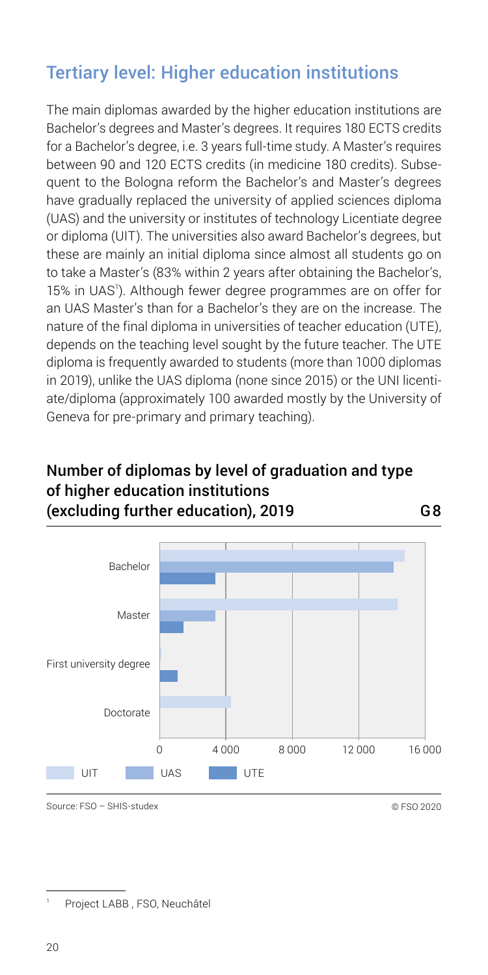## <span id="page-19-0"></span>Tertiary level: Higher education institutions

The main diplomas awarded by the higher education institutions are Bachelor's degrees and Master's degrees. It requires 180 ECTS credits for a Bachelor's degree, i.e. 3 years full-time study. A Master's requires between 90 and 120 ECTS credits (in medicine 180 credits). Subsequent to the Bologna reform the Bachelor's and Master's degrees have gradually replaced the university of applied sciences diploma (UAS) and the university or institutes of technology Licentiate degree or diploma (UIT). The universities also award Bachelor's degrees, but these are mainly an initial diploma since almost all students go on to take a Master's (83% within 2 years after obtaining the Bachelor's, 15% in UAS<sup>1</sup>). Although fewer degree programmes are on offer for an UAS Master's than for a Bachelor's they are on the increase. The nature of the final diploma in universities of teacher education (UTE), depends on the teaching level sought by the future teacher. The UTE diploma is frequently awarded to students (more than 1000 diplomas in 2019), unlike the UAS diploma (none since 2015) or the UNI licentiate/diploma (approximately 100 awarded mostly by the University of Geneva for pre-primary and primary teaching).

#### Number of diplomas by level of graduation and type of higher education institutions (excluding further education), 2019 G8



Source: FSO – SHIS-studex © FSO 2020

Project LABB , FSO, Neuchâtel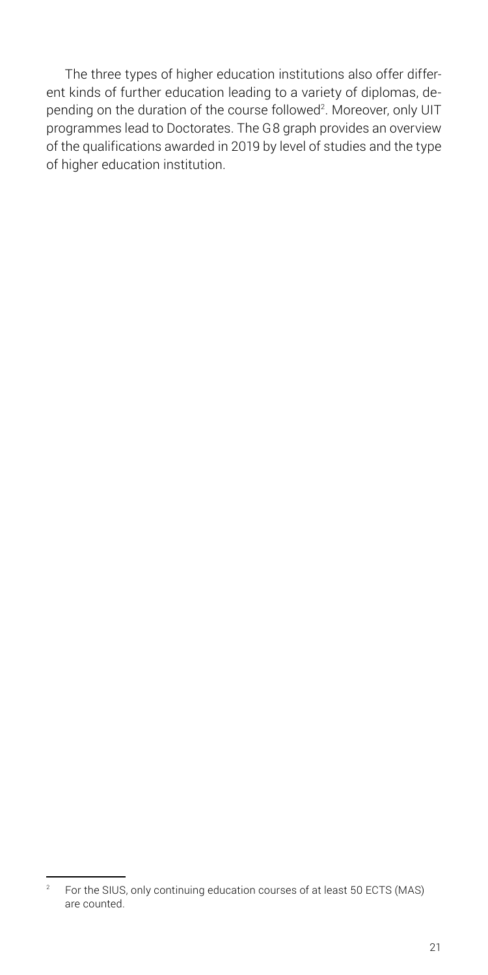The three types of higher education institutions also offer different kinds of further education leading to a variety of diplomas, depending on the duration of the course followed<sup>2</sup>. Moreover, only UIT programmes lead to Doctorates. The G8 graph provides an overview of the qualifications awarded in 2019 by level of studies and the type of higher education institution.

<sup>&</sup>lt;sup>2</sup> For the SIUS, only continuing education courses of at least 50 ECTS (MAS) are counted.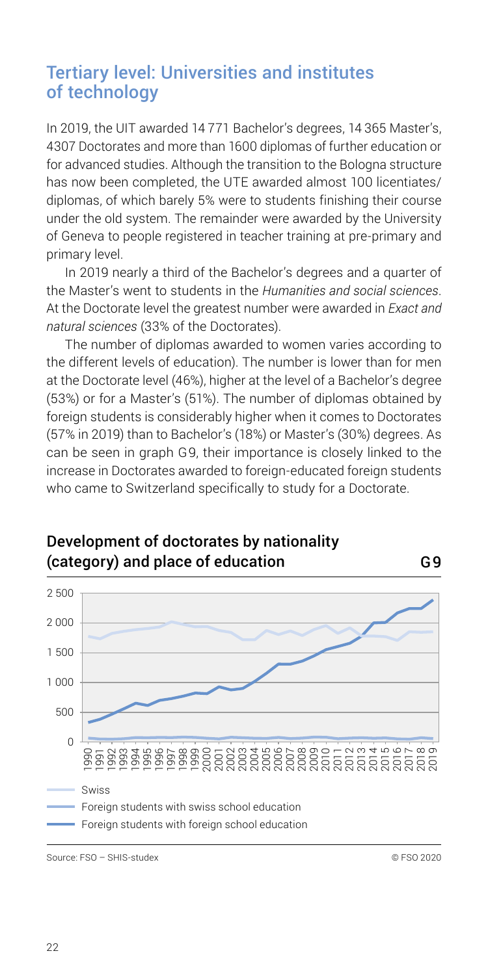## <span id="page-21-0"></span>Tertiary level: Universities and institutes of technology

In 2019, the UIT awarded 14 771 Bachelor's degrees, 14 365 Master's, 4307 Doctorates and more than 1600 diplomas of further education or for advanced studies. Although the transition to the Bologna structure has now been completed, the UTE awarded almost 100 licentiates/ diplomas, of which barely 5% were to students finishing their course under the old system. The remainder were awarded by the University of Geneva to people registered in teacher training at pre-primary and primary level.

In 2019 nearly a third of the Bachelor's degrees and a quarter of the Master's went to students in the *Humanities and social sciences*. At the Doctorate level the greatest number were awarded in *Exact and natural sciences* (33% of the Doctorates).

The number of diplomas awarded to women varies according to the different levels of education). The number is lower than for men at the Doctorate level (46%), higher at the level of a Bachelor's degree (53%) or for a Master's (51%). The number of diplomas obtained by foreign students is considerably higher when it comes to Doctorates (57% in 2019) than to Bachelor's (18%) or Master's (30%) degrees. As can be seen in graph G9, their importance is closely linked to the increase in Doctorates awarded to foreign-educated foreign students who came to Switzerland specifically to study for a Doctorate.



## Development of doctorates by nationality (category) and place of education G9

Source: FSO – SHIS-studex © FSO 2020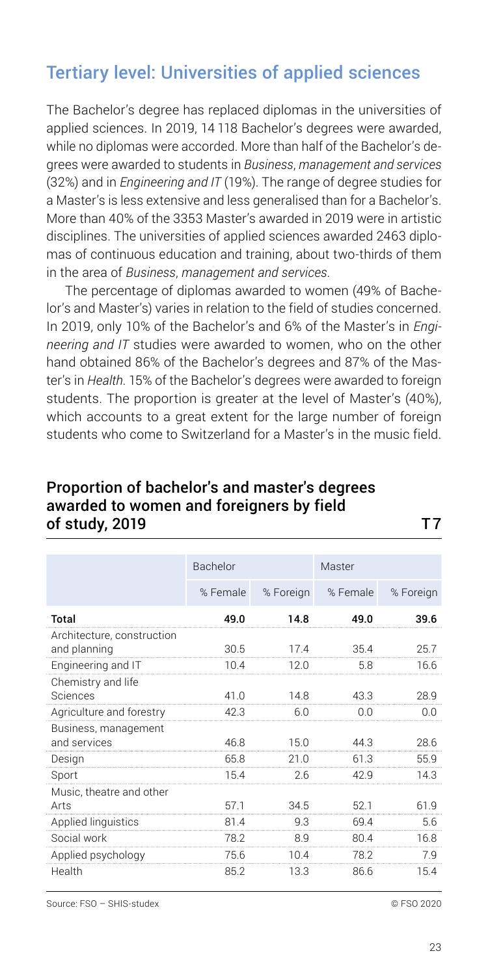## <span id="page-22-0"></span>Tertiary level: Universities of applied sciences

The Bachelor's degree has replaced diplomas in the universities of applied sciences. In 2019, 14 118 Bachelor's degrees were awarded, while no diplomas were accorded. More than half of the Bachelor's degrees were awarded to students in *Business*, *management and services* (32%) and in *Engineering and IT* (19%). The range of degree studies for a Master's is less extensive and less generalised than for a Bachelor's. More than 40% of the 3353 Master's awarded in 2019 were in artistic disciplines. The universities of applied sciences awarded 2463 diplomas of continuous education and training, about two-thirds of them in the area of *Business*, *management and services*.

The percentage of diplomas awarded to women (49% of Bachelor's and Master's) varies in relation to the field of studies concerned. In 2019, only 10% of the Bachelor's and 6% of the Master's in *Engineering and IT* studies were awarded to women, who on the other hand obtained 86% of the Bachelor's degrees and 87% of the Master's in *Health*. 15% of the Bachelor's degrees were awarded to foreign students. The proportion is greater at the level of Master's (40%), which accounts to a great extent for the large number of foreign students who come to Switzerland for a Master's in the music field.

#### Proportion of bachelor′s and master′s degrees awarded to women and foreigners by field of study, 2019 T7

|                                            | Bachelor |           | Master   |           |
|--------------------------------------------|----------|-----------|----------|-----------|
|                                            | % Female | % Foreign | % Female | % Foreign |
| Total                                      | 490      | 14.8      | 49 O     | 396       |
| Architecture, construction<br>and planning | 30.5     | 17.4      | 35.4     | 25.7      |
| Engineering and IT                         | 10.4     | 12.0      | 5.8      | 16.6      |
| Chemistry and life                         |          |           |          |           |
| Sciences                                   | 41.0     | 14.8      | 43.3     | 28.9      |
| Agriculture and forestry                   | 42.3     | 6.0       | n n      | n n       |
| Business, management                       |          |           |          |           |
| and services                               | 46.8     | 15.0      | 44.3     | 28.6      |
| Design                                     | 65.8     | 210       | 613      | 55.9      |
| Sport                                      | 15.4     | 2.6       | 42.9     | 14.3      |
| Music, theatre and other                   |          |           |          |           |
| Arts                                       | 571      | 34.5      | 521      | 619       |
| Applied linguistics                        | 81.4     | 9.3       | 69.4     | 5.6       |
| Social work                                | 78.2     | R q       | 80.4     | 16.8      |
| Applied psychology                         | 75.6     | 104       | 78.2     | 7 Q       |
| Health                                     | 85.2     | 13.3      | 86.6     | 15.4      |

Source: FSO – SHIS-studex © FSO 2020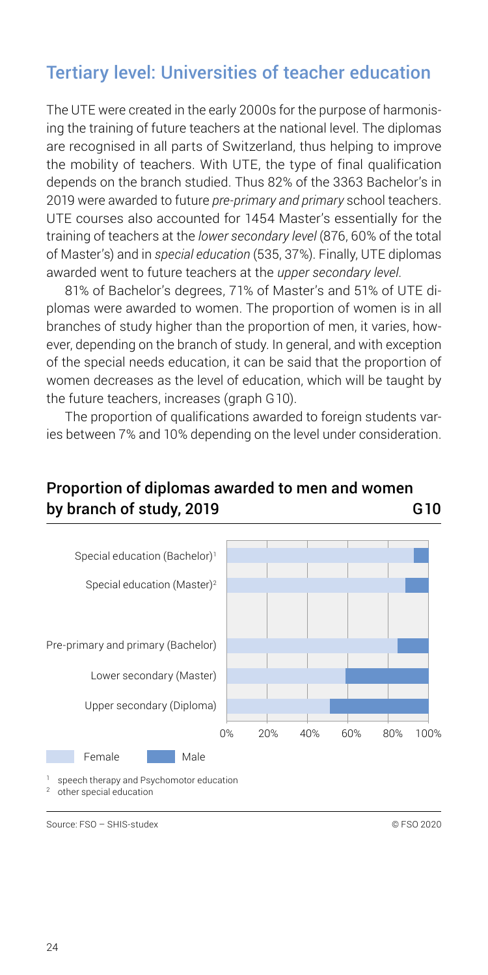## <span id="page-23-0"></span>Tertiary level: Universities of teacher education

The UTE were created in the early 2000s for the purpose of harmonising the training of future teachers at the national level. The diplomas are recognised in all parts of Switzerland, thus helping to improve the mobility of teachers. With UTE, the type of final qualification depends on the branch studied. Thus 82% of the 3363 Bachelor's in 2019 were awarded to future *pre-primary and primary* school teachers. UTE courses also accounted for 1454 Master's essentially for the training of teachers at the *lower secondary level* (876, 60% of the total of Master's) and in *special education* (535, 37%). Finally, UTE diplomas awarded went to future teachers at the *upper secondary level*.

81% of Bachelor's degrees, 71% of Master's and 51% of UTE diplomas were awarded to women. The proportion of women is in all branches of study higher than the proportion of men, it varies, however, depending on the branch of study. In general, and with exception of the special needs education, it can be said that the proportion of women decreases as the level of education, which will be taught by the future teachers, increases (graph G10).

The proportion of qualifications awarded to foreign students varies between 7% and 10% depending on the level under consideration.

#### Proportion of diplomas awarded to men and women by branch of study, 2019 G10



Source: FSO – SHIS-studex © FSO 2020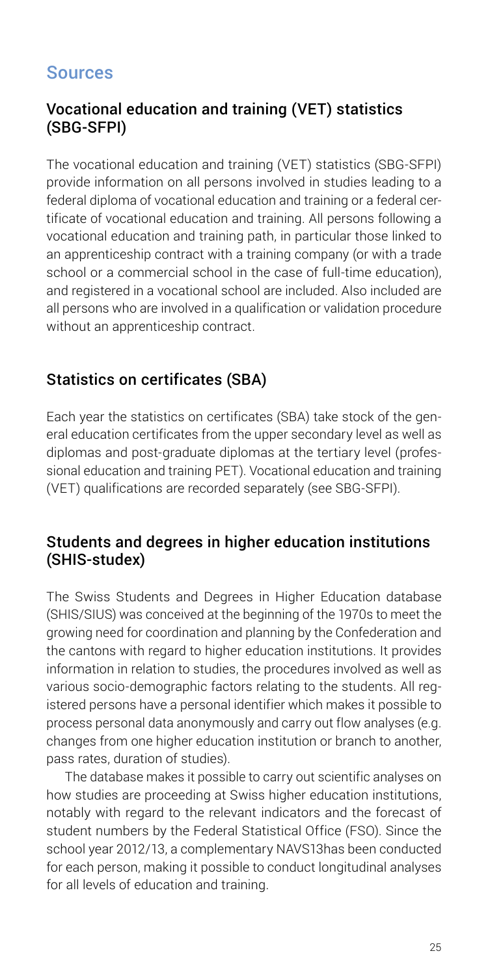## <span id="page-24-0"></span>Sources

#### Vocational education and training (VET) statistics (SBG-SFPI)

The vocational education and training (VET) statistics (SBG-SFPI) provide information on all persons involved in studies leading to a federal diploma of vocational education and training or a federal certificate of vocational education and training. All persons following a vocational education and training path, in particular those linked to an apprenticeship contract with a training company (or with a trade school or a commercial school in the case of full-time education), and registered in a vocational school are included. Also included are all persons who are involved in a qualification or validation procedure without an apprenticeship contract.

#### Statistics on certificates (SBA)

Each year the statistics on certificates (SBA) take stock of the general education certificates from the upper secondary level as well as diplomas and post-graduate diplomas at the tertiary level (professional education and training PET). Vocational education and training (VET) qualifications are recorded separately (see SBG-SFPI).

#### Students and degrees in higher education institutions (SHIS-studex)

The Swiss Students and Degrees in Higher Education database (SHIS/SIUS) was conceived at the beginning of the 1970s to meet the growing need for coordination and planning by the Confederation and the cantons with regard to higher education institutions. It provides information in relation to studies, the procedures involved as well as various socio-demographic factors relating to the students. All registered persons have a personal identifier which makes it possible to process personal data anonymously and carry out flow analyses (e.g. changes from one higher education institution or branch to another, pass rates, duration of studies).

The database makes it possible to carry out scientific analyses on how studies are proceeding at Swiss higher education institutions, notably with regard to the relevant indicators and the forecast of student numbers by the Federal Statistical Office (FSO). Since the school year 2012/13, a complementary NAVS13has been conducted for each person, making it possible to conduct longitudinal analyses for all levels of education and training.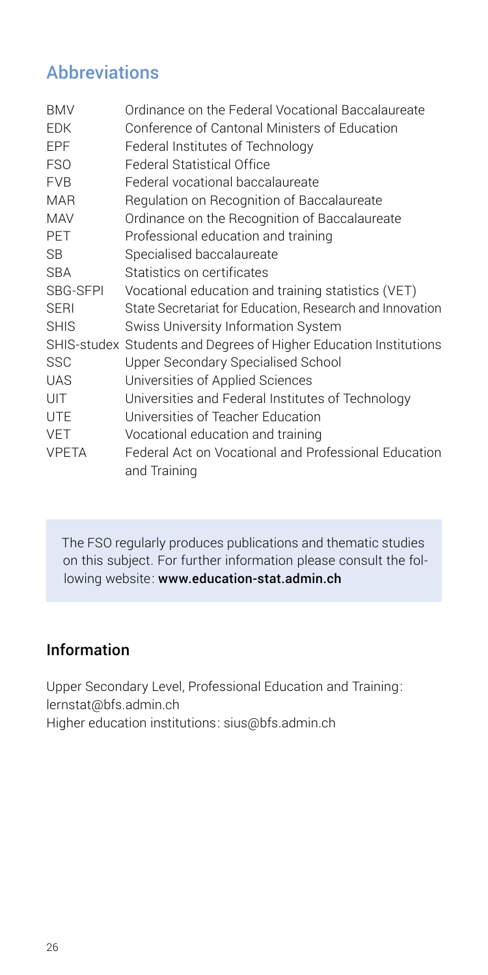## <span id="page-25-0"></span>**Abbreviations**

| <b>BMV</b>   | Ordinance on the Federal Vocational Baccalaureate                    |
|--------------|----------------------------------------------------------------------|
| <b>FDK</b>   | Conference of Cantonal Ministers of Education                        |
| <b>EPF</b>   | Federal Institutes of Technology                                     |
| <b>FSO</b>   | <b>Federal Statistical Office</b>                                    |
| <b>FVB</b>   | Federal vocational baccalaureate                                     |
| <b>MAR</b>   | Regulation on Recognition of Baccalaureate                           |
| <b>MAV</b>   | Ordinance on the Recognition of Baccalaureate                        |
| PET          | Professional education and training                                  |
| <b>SB</b>    | Specialised baccalaureate                                            |
| <b>SBA</b>   | Statistics on certificates                                           |
| SBG-SFPI     | Vocational education and training statistics (VET)                   |
| <b>SERI</b>  | State Secretariat for Education, Research and Innovation             |
| <b>SHIS</b>  | Swiss University Information System                                  |
|              | SHIS-studex Students and Degrees of Higher Education Institutions    |
| <b>SSC</b>   | Upper Secondary Specialised School                                   |
| <b>UAS</b>   | Universities of Applied Sciences                                     |
| UIT          | Universities and Federal Institutes of Technology                    |
| UTE          | Universities of Teacher Education                                    |
| <b>VET</b>   | Vocational education and training                                    |
| <b>VPETA</b> | Federal Act on Vocational and Professional Education<br>and Training |

The FSO regularly produces publications and thematic studies on this subject. For further information please consult the following website: www.education-stat.admin.ch

#### Information

Upper Secondary Level, Professional Education and Training: lernstat@bfs.admin.ch Higher education institutions: sius@bfs.admin.ch